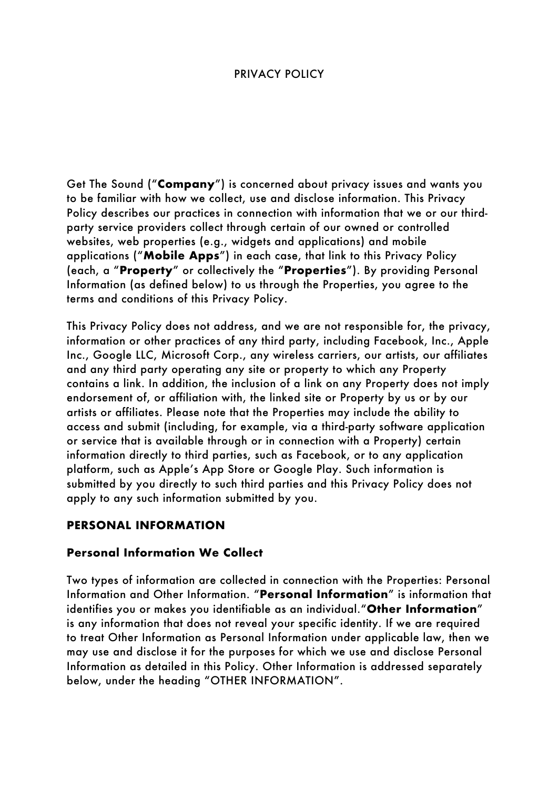#### PRIVACY POLICY

Get The Sound ("**Company**") is concerned about privacy issues and wants you to be familiar with how we collect, use and disclose information. This Privacy Policy describes our practices in connection with information that we or our thirdparty service providers collect through certain of our owned or controlled websites, web properties (e.g., widgets and applications) and mobile applications ("**Mobile Apps**") in each case, that link to this Privacy Policy (each, a "**Property**" or collectively the "**Properties**"). By providing Personal Information (as defined below) to us through the Properties, you agree to the terms and conditions of this Privacy Policy.

This Privacy Policy does not address, and we are not responsible for, the privacy, information or other practices of any third party, including Facebook, Inc., Apple Inc., Google LLC, Microsoft Corp., any wireless carriers, our artists, our affiliates and any third party operating any site or property to which any Property contains a link. In addition, the inclusion of a link on any Property does not imply endorsement of, or affiliation with, the linked site or Property by us or by our artists or affiliates. Please note that the Properties may include the ability to access and submit (including, for example, via a third-party software application or service that is available through or in connection with a Property) certain information directly to third parties, such as Facebook, or to any application platform, such as Apple's App Store or Google Play. Such information is submitted by you directly to such third parties and this Privacy Policy does not apply to any such information submitted by you.

### **PERSONAL INFORMATION**

#### **Personal Information We Collect**

Two types of information are collected in connection with the Properties: Personal Information and Other Information. "**Personal Information**" is information that identifies you or makes you identifiable as an individual."**Other Information**" is any information that does not reveal your specific identity. If we are required to treat Other Information as Personal Information under applicable law, then we may use and disclose it for the purposes for which we use and disclose Personal Information as detailed in this Policy. Other Information is addressed separately below, under the heading "OTHER INFORMATION".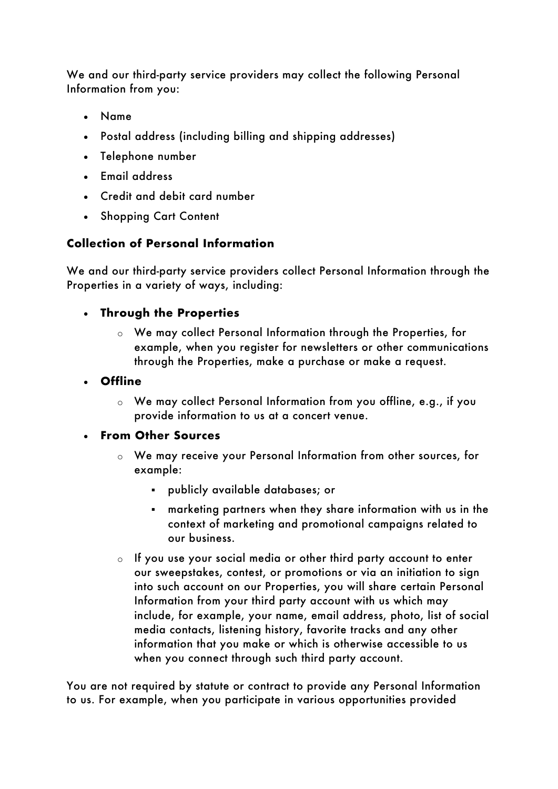We and our third-party service providers may collect the following Personal Information from you:

- Name
- Postal address (including billing and shipping addresses)
- Telephone number
- Email address
- Credit and debit card number
- Shopping Cart Content

# **Collection of Personal Information**

We and our third-party service providers collect Personal Information through the Properties in a variety of ways, including:

# • **Through the Properties**

o We may collect Personal Information through the Properties, for example, when you register for newsletters or other communications through the Properties, make a purchase or make a request.

# • **Offline**

o We may collect Personal Information from you offline, e.g., if you provide information to us at a concert venue.

### • **From Other Sources**

- o We may receive your Personal Information from other sources, for example:
	- § publicly available databases; or
	- § marketing partners when they share information with us in the context of marketing and promotional campaigns related to our business.
- o If you use your social media or other third party account to enter our sweepstakes, contest, or promotions or via an initiation to sign into such account on our Properties, you will share certain Personal Information from your third party account with us which may include, for example, your name, email address, photo, list of social media contacts, listening history, favorite tracks and any other information that you make or which is otherwise accessible to us when you connect through such third party account.

You are not required by statute or contract to provide any Personal Information to us. For example, when you participate in various opportunities provided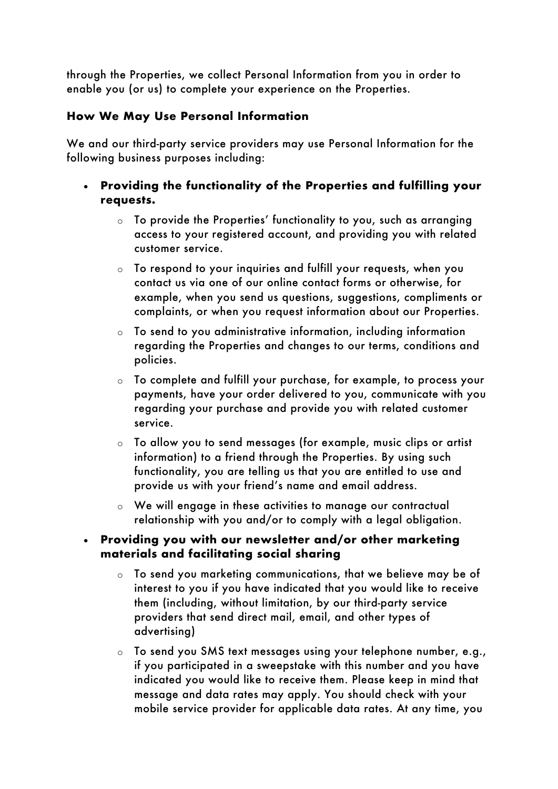through the Properties, we collect Personal Information from you in order to enable you (or us) to complete your experience on the Properties.

# **How We May Use Personal Information**

We and our third-party service providers may use Personal Information for the following business purposes including:

- **Providing the functionality of the Properties and fulfilling your requests.**
	- o To provide the Properties' functionality to you, such as arranging access to your registered account, and providing you with related customer service.
	- o To respond to your inquiries and fulfill your requests, when you contact us via one of our online contact forms or otherwise, for example, when you send us questions, suggestions, compliments or complaints, or when you request information about our Properties.
	- o To send to you administrative information, including information regarding the Properties and changes to our terms, conditions and policies.
	- o To complete and fulfill your purchase, for example, to process your payments, have your order delivered to you, communicate with you regarding your purchase and provide you with related customer service.
	- o To allow you to send messages (for example, music clips or artist information) to a friend through the Properties. By using such functionality, you are telling us that you are entitled to use and provide us with your friend's name and email address.
	- o We will engage in these activities to manage our contractual relationship with you and/or to comply with a legal obligation.

### • **Providing you with our newsletter and/or other marketing materials and facilitating social sharing**

- o To send you marketing communications, that we believe may be of interest to you if you have indicated that you would like to receive them (including, without limitation, by our third-party service providers that send direct mail, email, and other types of advertising)
- o To send you SMS text messages using your telephone number, e.g., if you participated in a sweepstake with this number and you have indicated you would like to receive them. Please keep in mind that message and data rates may apply. You should check with your mobile service provider for applicable data rates. At any time, you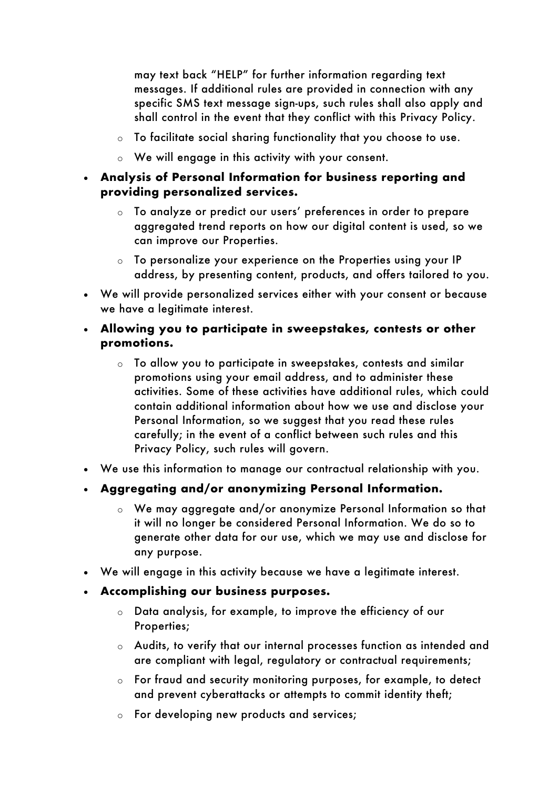may text back "HELP" for further information regarding text messages. If additional rules are provided in connection with any specific SMS text message sign-ups, such rules shall also apply and shall control in the event that they conflict with this Privacy Policy.

- o To facilitate social sharing functionality that you choose to use.
- o We will engage in this activity with your consent.
- **Analysis of Personal Information for business reporting and providing personalized services.**
	- o To analyze or predict our users' preferences in order to prepare aggregated trend reports on how our digital content is used, so we can improve our Properties.
	- o To personalize your experience on the Properties using your IP address, by presenting content, products, and offers tailored to you.
- We will provide personalized services either with your consent or because we have a legitimate interest.
- **Allowing you to participate in sweepstakes, contests or other promotions.**
	- o To allow you to participate in sweepstakes, contests and similar promotions using your email address, and to administer these activities. Some of these activities have additional rules, which could contain additional information about how we use and disclose your Personal Information, so we suggest that you read these rules carefully; in the event of a conflict between such rules and this Privacy Policy, such rules will govern.
- We use this information to manage our contractual relationship with you.
- **Aggregating and/or anonymizing Personal Information.**
	- o We may aggregate and/or anonymize Personal Information so that it will no longer be considered Personal Information. We do so to generate other data for our use, which we may use and disclose for any purpose.
- We will engage in this activity because we have a legitimate interest.
- **Accomplishing our business purposes.**
	- o Data analysis, for example, to improve the efficiency of our Properties;
	- o Audits, to verify that our internal processes function as intended and are compliant with legal, regulatory or contractual requirements;
	- o For fraud and security monitoring purposes, for example, to detect and prevent cyberattacks or attempts to commit identity theft;
	- o For developing new products and services;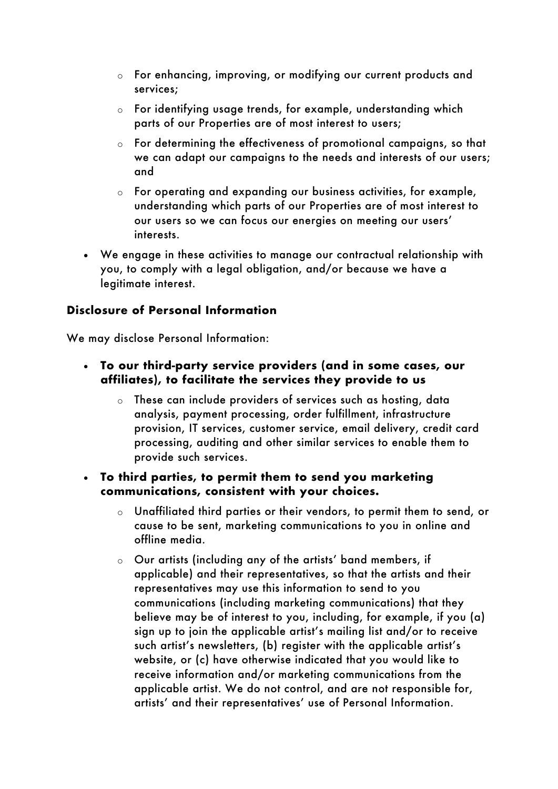- o For enhancing, improving, or modifying our current products and services;
- $\circ$  For identifying usage trends, for example, understanding which parts of our Properties are of most interest to users;
- o For determining the effectiveness of promotional campaigns, so that we can adapt our campaigns to the needs and interests of our users; and
- o For operating and expanding our business activities, for example, understanding which parts of our Properties are of most interest to our users so we can focus our energies on meeting our users' interests.
- We engage in these activities to manage our contractual relationship with you, to comply with a legal obligation, and/or because we have a legitimate interest.

### **Disclosure of Personal Information**

We may disclose Personal Information:

- **To our third-party service providers (and in some cases, our affiliates), to facilitate the services they provide to us**
	- o These can include providers of services such as hosting, data analysis, payment processing, order fulfillment, infrastructure provision, IT services, customer service, email delivery, credit card processing, auditing and other similar services to enable them to provide such services.
- **To third parties, to permit them to send you marketing communications, consistent with your choices.**
	- o Unaffiliated third parties or their vendors, to permit them to send, or cause to be sent, marketing communications to you in online and offline media.
	- o Our artists (including any of the artists' band members, if applicable) and their representatives, so that the artists and their representatives may use this information to send to you communications (including marketing communications) that they believe may be of interest to you, including, for example, if you (a) sign up to join the applicable artist's mailing list and/or to receive such artist's newsletters, (b) register with the applicable artist's website, or (c) have otherwise indicated that you would like to receive information and/or marketing communications from the applicable artist. We do not control, and are not responsible for, artists' and their representatives' use of Personal Information.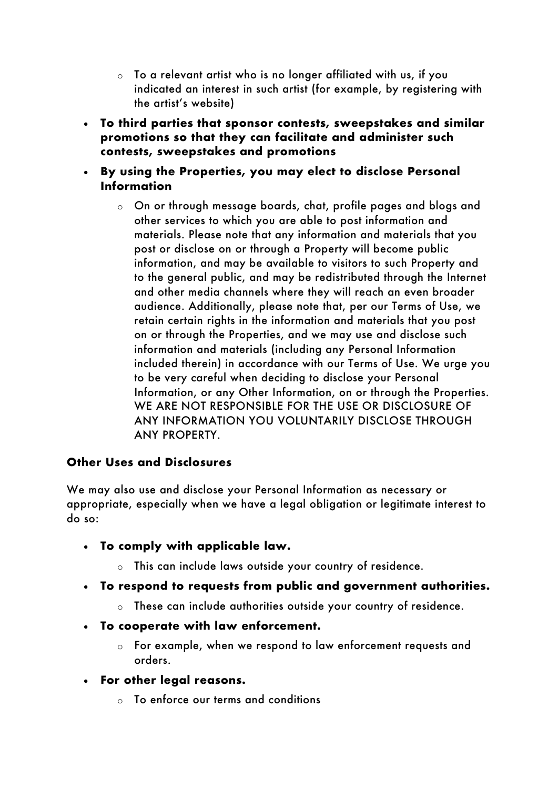- $\circ$  To a relevant artist who is no longer affiliated with us, if you indicated an interest in such artist (for example, by registering with the artist's website)
- **To third parties that sponsor contests, sweepstakes and similar promotions so that they can facilitate and administer such contests, sweepstakes and promotions**
- **By using the Properties, you may elect to disclose Personal Information**
	- o On or through message boards, chat, profile pages and blogs and other services to which you are able to post information and materials. Please note that any information and materials that you post or disclose on or through a Property will become public information, and may be available to visitors to such Property and to the general public, and may be redistributed through the Internet and other media channels where they will reach an even broader audience. Additionally, please note that, per our Terms of Use, we retain certain rights in the information and materials that you post on or through the Properties, and we may use and disclose such information and materials (including any Personal Information included therein) in accordance with our Terms of Use. We urge you to be very careful when deciding to disclose your Personal Information, or any Other Information, on or through the Properties. WE ARE NOT RESPONSIBLE FOR THE USE OR DISCLOSURE OF ANY INFORMATION YOU VOLUNTARILY DISCLOSE THROUGH ANY PROPERTY.

### **Other Uses and Disclosures**

We may also use and disclose your Personal Information as necessary or appropriate, especially when we have a legal obligation or legitimate interest to do so:

- **To comply with applicable law.**
	- o This can include laws outside your country of residence.
- **To respond to requests from public and government authorities.**
	- o These can include authorities outside your country of residence.
- **To cooperate with law enforcement.**
	- o For example, when we respond to law enforcement requests and orders.
- **For other legal reasons.**
	- o To enforce our terms and conditions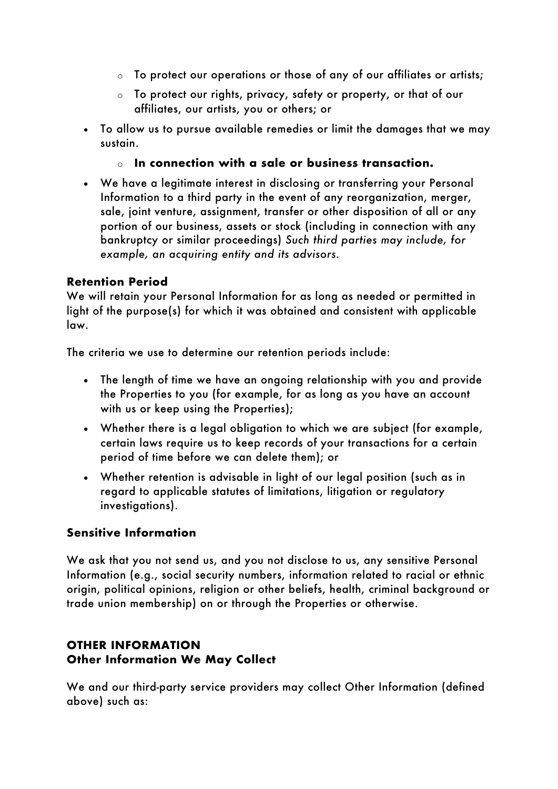- $\circ$  To protect our operations or those of any of our affiliates or artists;
- o To protect our rights, privacy, safety or property, or that of our affiliates, our artists, you or others; or
- To allow us to pursue available remedies or limit the damages that we may sustain.
	- o **In connection with a sale or business transaction.**
- We have a legitimate interest in disclosing or transferring your Personal Information to a third party in the event of any reorganization, merger, sale, joint venture, assignment, transfer or other disposition of all or any portion of our business, assets or stock (including in connection with any bankruptcy or similar proceedings) *Such third parties may include, for example, an acquiring entity and its advisors.*

#### **Retention Period**

We will retain your Personal Information for as long as needed or permitted in light of the purpose(s) for which it was obtained and consistent with applicable law.

The criteria we use to determine our retention periods include:

- The length of time we have an ongoing relationship with you and provide the Properties to you (for example, for as long as you have an account with us or keep using the Properties);
- Whether there is a legal obligation to which we are subject (for example, certain laws require us to keep records of your transactions for a certain period of time before we can delete them); or
- Whether retention is advisable in light of our legal position (such as in regard to applicable statutes of limitations, litigation or regulatory investigations).

### **Sensitive Information**

We ask that you not send us, and you not disclose to us, any sensitive Personal Information (e.g., social security numbers, information related to racial or ethnic origin, political opinions, religion or other beliefs, health, criminal background or trade union membership) on or through the Properties or otherwise.

# **OTHER INFORMATION Other Information We May Collect**

We and our third-party service providers may collect Other Information (defined above) such as: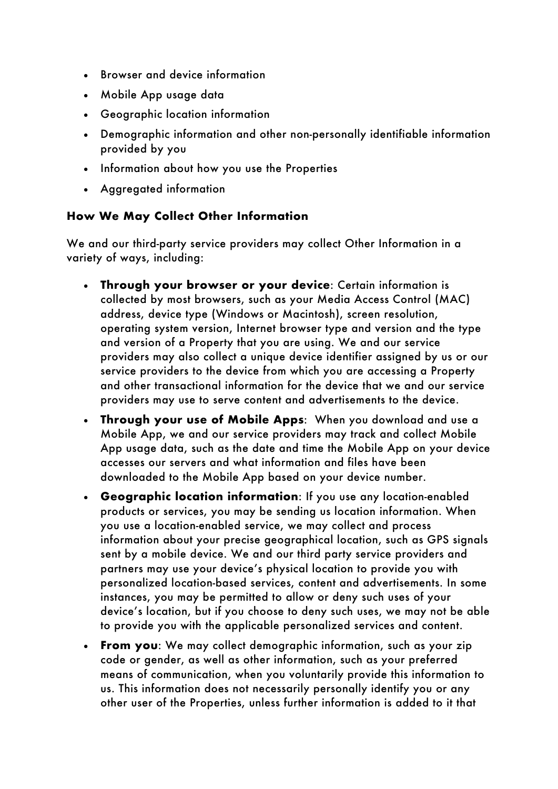- Browser and device information
- Mobile App usage data
- Geographic location information
- Demographic information and other non-personally identifiable information provided by you
- Information about how you use the Properties
- Aggregated information

### **How We May Collect Other Information**

We and our third-party service providers may collect Other Information in a variety of ways, including:

- **Through your browser or your device**: Certain information is collected by most browsers, such as your Media Access Control (MAC) address, device type (Windows or Macintosh), screen resolution, operating system version, Internet browser type and version and the type and version of a Property that you are using. We and our service providers may also collect a unique device identifier assigned by us or our service providers to the device from which you are accessing a Property and other transactional information for the device that we and our service providers may use to serve content and advertisements to the device.
- **Through your use of Mobile Apps**: When you download and use a Mobile App, we and our service providers may track and collect Mobile App usage data, such as the date and time the Mobile App on your device accesses our servers and what information and files have been downloaded to the Mobile App based on your device number.
- **Geographic location information**: If you use any location-enabled products or services, you may be sending us location information. When you use a location-enabled service, we may collect and process information about your precise geographical location, such as GPS signals sent by a mobile device. We and our third party service providers and partners may use your device's physical location to provide you with personalized location-based services, content and advertisements. In some instances, you may be permitted to allow or deny such uses of your device's location, but if you choose to deny such uses, we may not be able to provide you with the applicable personalized services and content.
- **From you**: We may collect demographic information, such as your zip code or gender, as well as other information, such as your preferred means of communication, when you voluntarily provide this information to us. This information does not necessarily personally identify you or any other user of the Properties, unless further information is added to it that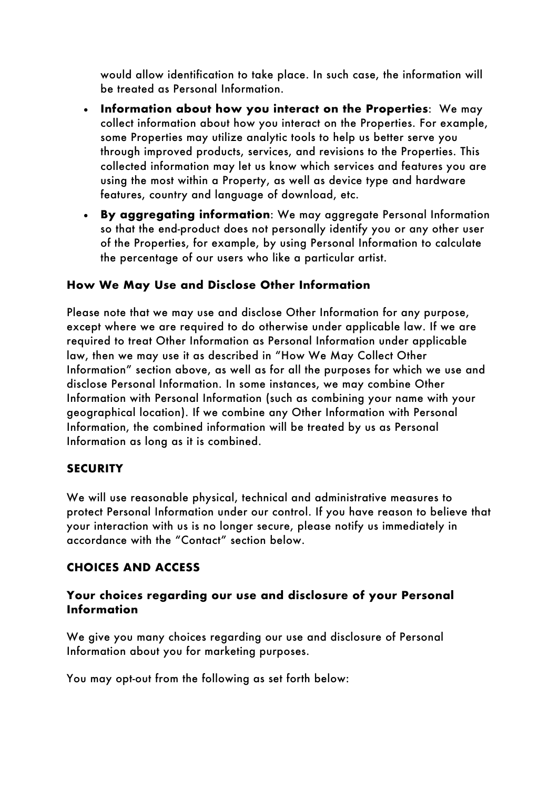would allow identification to take place. In such case, the information will be treated as Personal Information.

- **Information about how you interact on the Properties**: We may collect information about how you interact on the Properties. For example, some Properties may utilize analytic tools to help us better serve you through improved products, services, and revisions to the Properties. This collected information may let us know which services and features you are using the most within a Property, as well as device type and hardware features, country and language of download, etc.
- **By aggregating information**: We may aggregate Personal Information so that the end-product does not personally identify you or any other user of the Properties, for example, by using Personal Information to calculate the percentage of our users who like a particular artist.

#### **How We May Use and Disclose Other Information**

Please note that we may use and disclose Other Information for any purpose, except where we are required to do otherwise under applicable law. If we are required to treat Other Information as Personal Information under applicable law, then we may use it as described in "How We May Collect Other Information" section above, as well as for all the purposes for which we use and disclose Personal Information. In some instances, we may combine Other Information with Personal Information (such as combining your name with your geographical location). If we combine any Other Information with Personal Information, the combined information will be treated by us as Personal Information as long as it is combined.

#### **SECURITY**

We will use reasonable physical, technical and administrative measures to protect Personal Information under our control. If you have reason to believe that your interaction with us is no longer secure, please notify us immediately in accordance with the "Contact" section below.

#### **CHOICES AND ACCESS**

#### **Your choices regarding our use and disclosure of your Personal Information**

We give you many choices regarding our use and disclosure of Personal Information about you for marketing purposes.

You may opt-out from the following as set forth below: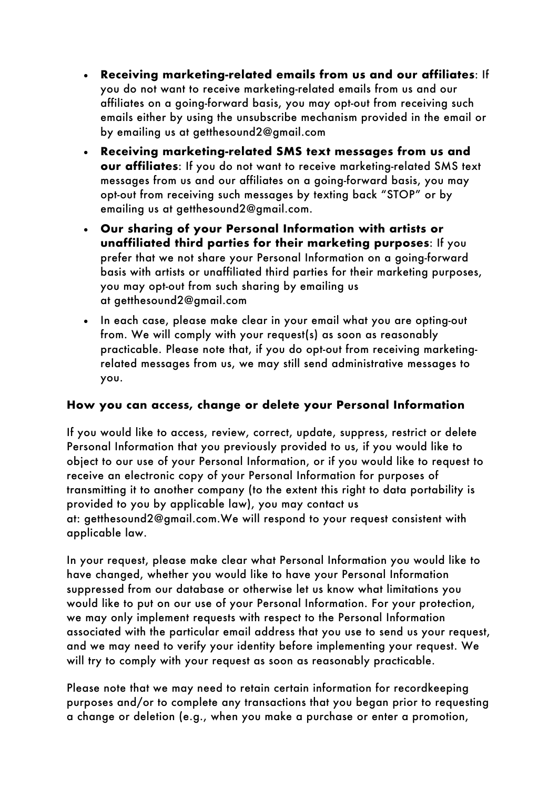- **Receiving marketing-related emails from us and our affiliates**: If you do not want to receive marketing-related emails from us and our affiliates on a going-forward basis, you may opt-out from receiving such emails either by using the unsubscribe mechanism provided in the email or by emailing us at getthesound2@gmail.com
- **Receiving marketing-related SMS text messages from us and our affiliates**: If you do not want to receive marketing-related SMS text messages from us and our affiliates on a going-forward basis, you may opt-out from receiving such messages by texting back "STOP" or by emailing us at getthesound2@gmail.com.
- **Our sharing of your Personal Information with artists or unaffiliated third parties for their marketing purposes**: If you prefer that we not share your Personal Information on a going-forward basis with artists or unaffiliated third parties for their marketing purposes, you may opt-out from such sharing by emailing us at getthesound2@gmail.com
- In each case, please make clear in your email what you are opting-out from. We will comply with your request(s) as soon as reasonably practicable. Please note that, if you do opt-out from receiving marketingrelated messages from us, we may still send administrative messages to you.

### **How you can access, change or delete your Personal Information**

If you would like to access, review, correct, update, suppress, restrict or delete Personal Information that you previously provided to us, if you would like to object to our use of your Personal Information, or if you would like to request to receive an electronic copy of your Personal Information for purposes of transmitting it to another company (to the extent this right to data portability is provided to you by applicable law), you may contact us at: getthesound2@gmail.com.We will respond to your request consistent with applicable law.

In your request, please make clear what Personal Information you would like to have changed, whether you would like to have your Personal Information suppressed from our database or otherwise let us know what limitations you would like to put on our use of your Personal Information. For your protection, we may only implement requests with respect to the Personal Information associated with the particular email address that you use to send us your request, and we may need to verify your identity before implementing your request. We will try to comply with your request as soon as reasonably practicable.

Please note that we may need to retain certain information for recordkeeping purposes and/or to complete any transactions that you began prior to requesting a change or deletion (e.g., when you make a purchase or enter a promotion,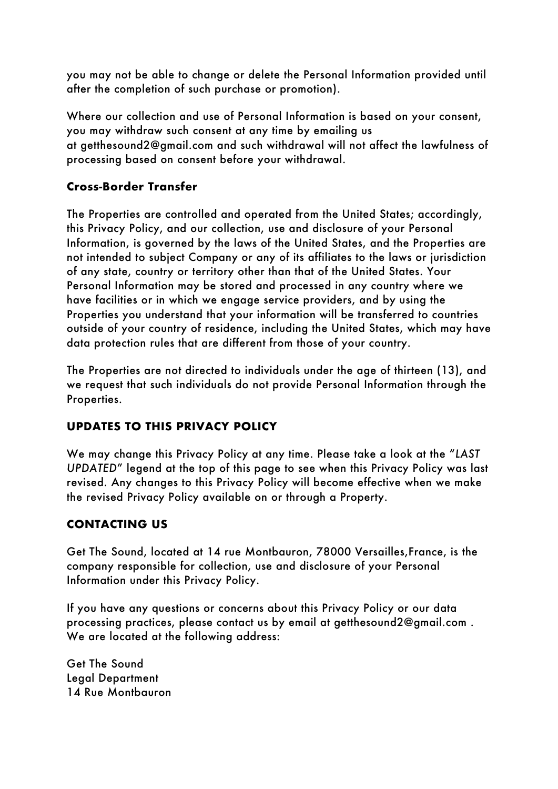you may not be able to change or delete the Personal Information provided until after the completion of such purchase or promotion).

Where our collection and use of Personal Information is based on your consent, you may withdraw such consent at any time by emailing us at getthesound2@gmail.com and such withdrawal will not affect the lawfulness of processing based on consent before your withdrawal.

## **Cross-Border Transfer**

The Properties are controlled and operated from the United States; accordingly, this Privacy Policy, and our collection, use and disclosure of your Personal Information, is governed by the laws of the United States, and the Properties are not intended to subject Company or any of its affiliates to the laws or jurisdiction of any state, country or territory other than that of the United States. Your Personal Information may be stored and processed in any country where we have facilities or in which we engage service providers, and by using the Properties you understand that your information will be transferred to countries outside of your country of residence, including the United States, which may have data protection rules that are different from those of your country.

The Properties are not directed to individuals under the age of thirteen (13), and we request that such individuals do not provide Personal Information through the Properties.

### **UPDATES TO THIS PRIVACY POLICY**

We may change this Privacy Policy at any time. Please take a look at the "*LAST UPDATED*" legend at the top of this page to see when this Privacy Policy was last revised. Any changes to this Privacy Policy will become effective when we make the revised Privacy Policy available on or through a Property.

### **CONTACTING US**

Get The Sound, located at 14 rue Montbauron, 78000 Versailles,France, is the company responsible for collection, use and disclosure of your Personal Information under this Privacy Policy.

If you have any questions or concerns about this Privacy Policy or our data processing practices, please contact us by email at getthesound2@gmail.com . We are located at the following address:

Get The Sound Legal Department 14 Rue Montbauron